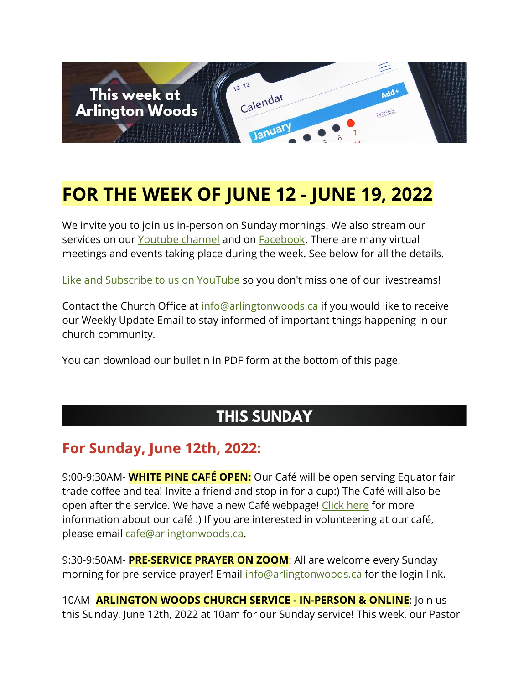

# **FOR THE WEEK OF JUNE 12 - JUNE 19, 2022**

We invite you to join us in-person on Sunday mornings. We also stream our services on our [Youtube channel](https://www.youtube.com/channel/UCN0jh5__-PL-Mpw_3v-4lMg) and on **Facebook**. There are many virtual meetings and events taking place during the week. See below for all the details.

[Like and Subscribe to us on YouTube](http://www.youtube.com/ArlingtonWoodsChurch) so you don't miss one of our livestreams!

Contact the Church Office at [info@arlingtonwoods.ca](mailto:info@arlingtonwoods.ca) if you would like to receive our Weekly Update Email to stay informed of important things happening in our church community.

You can download our bulletin in PDF form at the bottom of this page.

### **THIS SUNDAY**

#### **For Sunday, June 12th, 2022:**

9:00-9:30AM- **WHITE PINE CAFÉ OPEN:** Our Café will be open serving Equator fair trade coffee and tea! Invite a friend and stop in for a cup:) The Café will also be open after the service. We have a new Café webpage! [Click here](https://arlingtonwoods.ca/cafe.php) for more information about our café :) If you are interested in volunteering at our café, please email [cafe@arlingtonwoods.ca.](mailto:cafe@arlingtonwoods.ca)

9:30-9:50AM- **PRE-SERVICE PRAYER ON ZOOM**: All are welcome every Sunday morning for pre-service prayer! Email [info@arlingtonwoods.ca](mailto:info@arlingtonwoods.ca) for the login link.

10AM- **ARLINGTON WOODS CHURCH SERVICE - IN-PERSON & ONLINE**: Join us this Sunday, June 12th, 2022 at 10am for our Sunday service! This week, our Pastor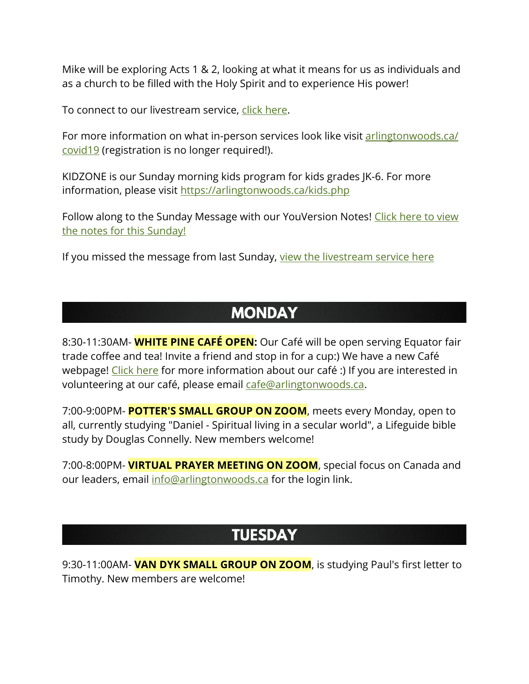Mike will be exploring Acts 1 & 2, looking at what it means for us as individuals and as a church to be filled with the Holy Spirit and to experience His power!

To connect to our livestream service, [click here.](https://www.youtube.com/channel/UCN0jh5__-PL-Mpw_3v-4lMg)

For more information on what in-person services look like visit arlingtonwoods.ca/ [covid19](https://arlingtonwoods.ca/covid19.php) (registration is no longer required!).

KIDZONE is our Sunday morning kids program for kids grades JK-6. For more information, please visit <https://arlingtonwoods.ca/kids.php>

Follow along to the Sunday Message with our YouVersion Notes! Click here to view [the notes for this Sunday!](http://bible.com/events/48904098)

If you missed the message from last Sunday, [view the livestream service here](https://www.youtube.com/channel/UCN0jh5__-PL-Mpw_3v-4lMg)

#### **MONDAY**

8:30-11:30AM- **WHITE PINE CAFÉ OPEN:** Our Café will be open serving Equator fair trade coffee and tea! Invite a friend and stop in for a cup:) We have a new Café webpage! [Click here](https://arlingtonwoods.ca/cafe.php) for more information about our café :) If you are interested in volunteering at our café, please email [cafe@arlingtonwoods.ca.](mailto:cafe@arlingtonwoods.ca)

7:00-9:00PM- **POTTER'S SMALL GROUP ON ZOOM**, meets every Monday, open to all, currently studying "Daniel - Spiritual living in a secular world", a Lifeguide bible study by Douglas Connelly. New members welcome!

7:00-8:00PM- **VIRTUAL PRAYER MEETING ON ZOOM**, special focus on Canada and our leaders, email [info@arlingtonwoods.ca](mailto:info@arlingtonwoods.ca) for the login link.

#### **TUESDAY**

9:30-11:00AM- **VAN DYK SMALL GROUP ON ZOOM**, is studying Paul's first letter to Timothy. New members are welcome!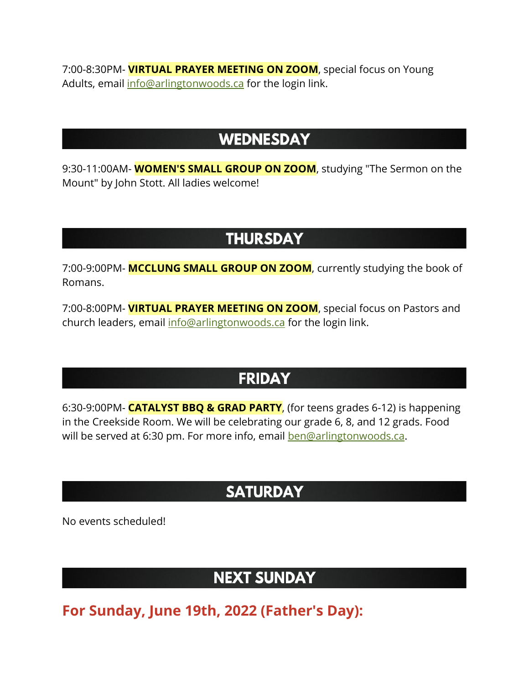7:00-8:30PM- **VIRTUAL PRAYER MEETING ON ZOOM**, special focus on Young Adults, email [info@arlingtonwoods.ca](mailto:info@arlingtonwoods.ca) for the login link.

#### **WEDNESDAY**

9:30-11:00AM- **WOMEN'S SMALL GROUP ON ZOOM**, studying "The Sermon on the Mount" by John Stott. All ladies welcome!

### **THURSDAY**

7:00-9:00PM- **MCCLUNG SMALL GROUP ON ZOOM**, currently studying the book of Romans.

7:00-8:00PM- **VIRTUAL PRAYER MEETING ON ZOOM**, special focus on Pastors and church leaders, email [info@arlingtonwoods.ca](mailto:info@arlingtonwoods.ca) for the login link.

### **FRIDAY**

6:30-9:00PM- **CATALYST BBQ & GRAD PARTY**, (for teens grades 6-12) is happening in the Creekside Room. We will be celebrating our grade 6, 8, and 12 grads. Food will be served at 6:30 pm. For more info, email **ben@arlingtonwoods.ca**.

## **SATURDAY**

No events scheduled!

### **NEXT SUNDAY**

**For Sunday, June 19th, 2022 (Father's Day):**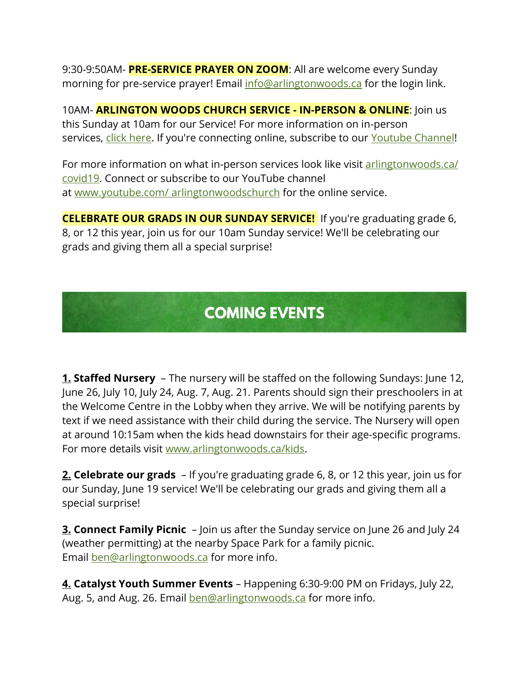9:30-9:50AM- **PRE-SERVICE PRAYER ON ZOOM**: All are welcome every Sunday morning for pre-service prayer! Email [info@arlingtonwoods.ca](mailto:info@arlingtonwoods.ca) for the login link.

10AM- **ARLINGTON WOODS CHURCH SERVICE - IN-PERSON & ONLINE**: Join us this Sunday at 10am for our Service! For more information on in-person services, [click here.](https://arlingtonwoods.ca/covid19.php) If you're connecting online, subscribe to our [Youtube Channel!](http://www.youtube.com/ArlingtonWoodsChurch)

For more information on what in-person services look like visit [arlingtonwoods.ca/](https://arlingtonwoods.ca/covid19.php)  [covid19.](https://arlingtonwoods.ca/covid19.php) Connect or subscribe to our YouTube channel at www.youtube.com/ [arlingtonwoodschurch](https://www.youtube.com/arlingtonwoodschurch?fbclid=IwAR1K03d9v3OMa1Bqo2xqkwUEbYKvPn60o0X0P74EyVl8ju-MWi7a3_oXTqY) for the online service.

**CELEBRATE OUR GRADS IN OUR SUNDAY SERVICE!** If you're graduating grade 6, 8, or 12 this year, join us for our 10am Sunday service! We'll be celebrating our grads and giving them all a special surprise!

## **COMING EVENTS**

**1. Staffed Nursery** – The nursery will be staffed on the following Sundays: June 12, June 26, July 10, July 24, Aug. 7, Aug. 21. Parents should sign their preschoolers in at the Welcome Centre in the Lobby when they arrive. We will be notifying parents by text if we need assistance with their child during the service. The Nursery will open at around 10:15am when the kids head downstairs for their age-specific programs. For more details visit [www.arlingtonwoods.ca/kids.](http://www.arlingtonwoods.ca/kids)

**2. Celebrate our grads** – If you're graduating grade 6, 8, or 12 this year, join us for our Sunday, June 19 service! We'll be celebrating our grads and giving them all a special surprise!

**3. Connect Family Picnic** – Join us after the Sunday service on June 26 and July 24 (weather permitting) at the nearby Space Park for a family picnic. Email [ben@arlingtonwoods.ca](mailto:ben@arlingtonwoods.ca) for more info.

**4. Catalyst Youth Summer Events** – Happening 6:30-9:00 PM on Fridays, July 22, Aug. 5, and Aug. 26. Email **[ben@arlingtonwoods.ca](mailto:ben@arlingtonwoods.ca)** for more info.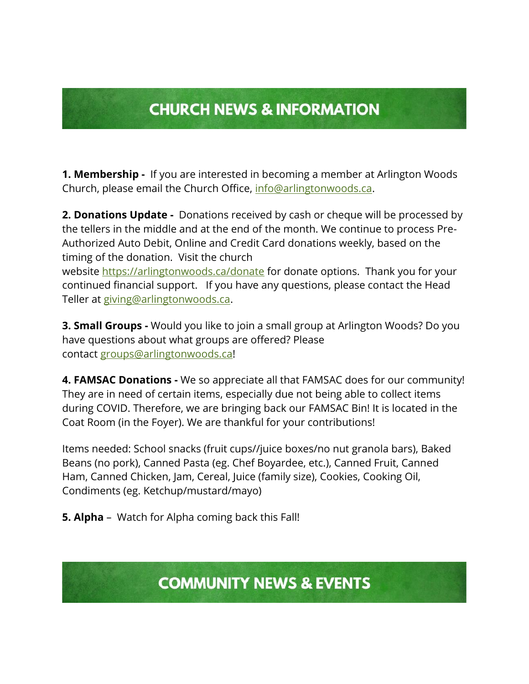## **CHURCH NEWS & INFORMATION**

**1. Membership -** If you are interested in becoming a member at Arlington Woods Church, please email the Church Office, [info@arlingtonwoods.ca.](mailto:info@arlingtonwoods.ca)

**2. Donations Update -** Donations received by cash or cheque will be processed by the tellers in the middle and at the end of the month. We continue to process Pre-Authorized Auto Debit, Online and Credit Card donations weekly, based on the timing of the donation. Visit the church

website <https://arlingtonwoods.ca/donate> for donate options. Thank you for your continued financial support. If you have any questions, please contact the Head Teller at [giving@arlingtonwoods.ca.](mailto:giving@arlingtonwoods.ca)

**3. Small Groups -** Would you like to join a small group at Arlington Woods? Do you have questions about what groups are offered? Please contact [groups@arlingtonwoods.ca!](mailto:groups@arlingtonwoods.ca)

**4. FAMSAC Donations -** We so appreciate all that FAMSAC does for our community! They are in need of certain items, especially due not being able to collect items during COVID. Therefore, we are bringing back our FAMSAC Bin! It is located in the Coat Room (in the Foyer). We are thankful for your contributions!

Items needed: School snacks (fruit cups//juice boxes/no nut granola bars), Baked Beans (no pork), Canned Pasta (eg. Chef Boyardee, etc.), Canned Fruit, Canned Ham, Canned Chicken, Jam, Cereal, Juice (family size), Cookies, Cooking Oil, Condiments (eg. Ketchup/mustard/mayo)

**5. Alpha** – Watch for Alpha coming back this Fall!

**COMMUNITY NEWS & EVENTS**